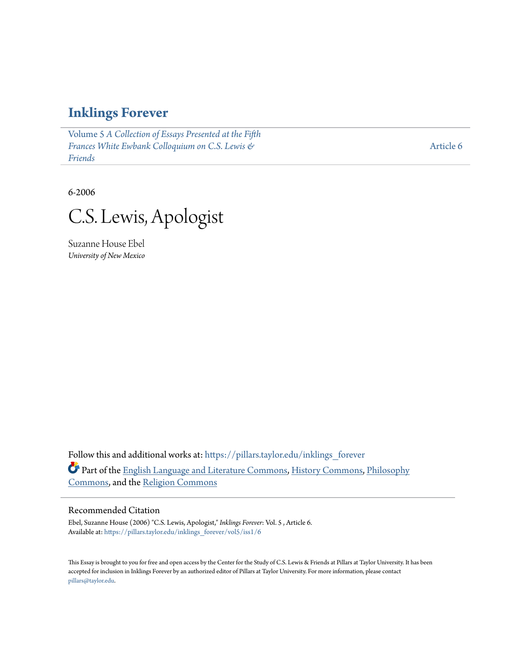### **[Inklings Forever](https://pillars.taylor.edu/inklings_forever?utm_source=pillars.taylor.edu%2Finklings_forever%2Fvol5%2Fiss1%2F6&utm_medium=PDF&utm_campaign=PDFCoverPages)**

Volume 5 *[A Collection of Essays Presented at the Fifth](https://pillars.taylor.edu/inklings_forever/vol5?utm_source=pillars.taylor.edu%2Finklings_forever%2Fvol5%2Fiss1%2F6&utm_medium=PDF&utm_campaign=PDFCoverPages) [Frances White Ewbank Colloquium on C.S. Lewis &](https://pillars.taylor.edu/inklings_forever/vol5?utm_source=pillars.taylor.edu%2Finklings_forever%2Fvol5%2Fiss1%2F6&utm_medium=PDF&utm_campaign=PDFCoverPages) [Friends](https://pillars.taylor.edu/inklings_forever/vol5?utm_source=pillars.taylor.edu%2Finklings_forever%2Fvol5%2Fiss1%2F6&utm_medium=PDF&utm_campaign=PDFCoverPages)*

[Article 6](https://pillars.taylor.edu/inklings_forever/vol5/iss1/6?utm_source=pillars.taylor.edu%2Finklings_forever%2Fvol5%2Fiss1%2F6&utm_medium=PDF&utm_campaign=PDFCoverPages)

6-2006

C.S. Lewis, Apologist

Suzanne House Ebel *University of New Mexico*

Follow this and additional works at: [https://pillars.taylor.edu/inklings\\_forever](https://pillars.taylor.edu/inklings_forever?utm_source=pillars.taylor.edu%2Finklings_forever%2Fvol5%2Fiss1%2F6&utm_medium=PDF&utm_campaign=PDFCoverPages) Part of the [English Language and Literature Commons](http://network.bepress.com/hgg/discipline/455?utm_source=pillars.taylor.edu%2Finklings_forever%2Fvol5%2Fiss1%2F6&utm_medium=PDF&utm_campaign=PDFCoverPages), [History Commons,](http://network.bepress.com/hgg/discipline/489?utm_source=pillars.taylor.edu%2Finklings_forever%2Fvol5%2Fiss1%2F6&utm_medium=PDF&utm_campaign=PDFCoverPages) [Philosophy](http://network.bepress.com/hgg/discipline/525?utm_source=pillars.taylor.edu%2Finklings_forever%2Fvol5%2Fiss1%2F6&utm_medium=PDF&utm_campaign=PDFCoverPages) [Commons,](http://network.bepress.com/hgg/discipline/525?utm_source=pillars.taylor.edu%2Finklings_forever%2Fvol5%2Fiss1%2F6&utm_medium=PDF&utm_campaign=PDFCoverPages) and the [Religion Commons](http://network.bepress.com/hgg/discipline/538?utm_source=pillars.taylor.edu%2Finklings_forever%2Fvol5%2Fiss1%2F6&utm_medium=PDF&utm_campaign=PDFCoverPages)

#### Recommended Citation

Ebel, Suzanne House (2006) "C.S. Lewis, Apologist," *Inklings Forever*: Vol. 5 , Article 6. Available at: [https://pillars.taylor.edu/inklings\\_forever/vol5/iss1/6](https://pillars.taylor.edu/inklings_forever/vol5/iss1/6?utm_source=pillars.taylor.edu%2Finklings_forever%2Fvol5%2Fiss1%2F6&utm_medium=PDF&utm_campaign=PDFCoverPages)

This Essay is brought to you for free and open access by the Center for the Study of C.S. Lewis & Friends at Pillars at Taylor University. It has been accepted for inclusion in Inklings Forever by an authorized editor of Pillars at Taylor University. For more information, please contact [pillars@taylor.edu.](mailto:pillars@taylor.edu)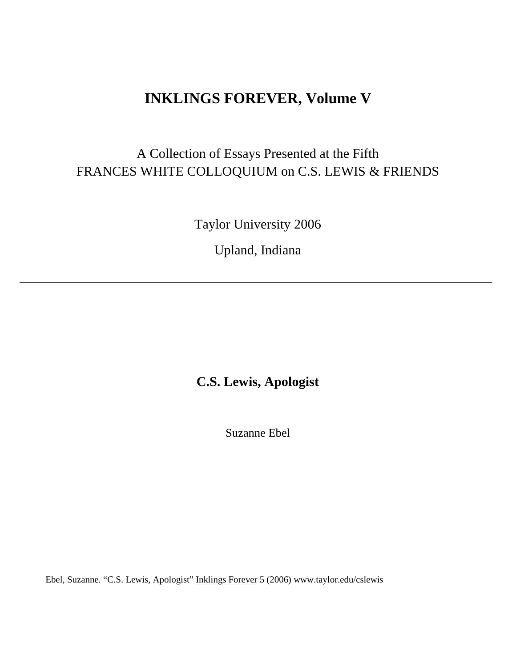# **INKLINGS FOREVER, Volume V**

# A Collection of Essays Presented at the Fifth FRANCES WHITE COLLOQUIUM on C.S. LEWIS & FRIENDS

Taylor University 2006

Upland, Indiana

## **C.S. Lewis, Apologist**

Suzanne Ebel

Ebel, Suzanne. "C.S. Lewis, Apologist" Inklings Forever 5 (2006) www.taylor.edu/cslewis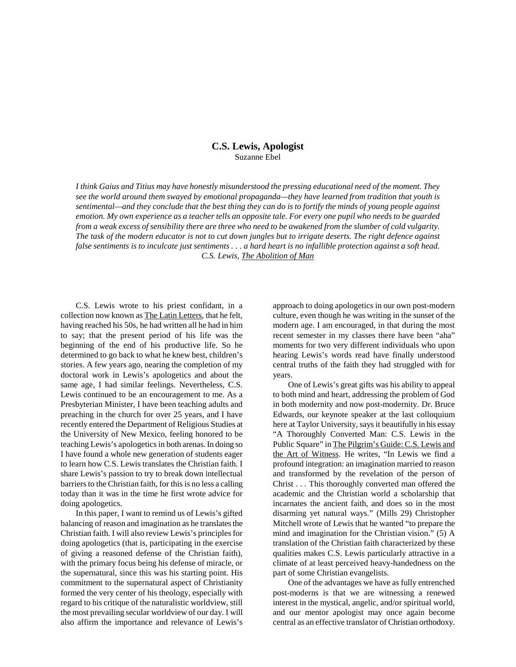#### **C.S. Lewis, Apologist** Suzanne Ebel

*I think Gaius and Titius may have honestly misunderstood the pressing educational need of the moment. They see the world around them swayed by emotional propaganda—they have learned from tradition that youth is sentimental—and they conclude that the best thing they can do is to fortify the minds of young people against emotion. My own experience as a teacher tells an opposite tale. For every one pupil who needs to be guarded from a weak excess of sensibility there are three who need to be awakened from the slumber of cold vulgarity. The task of the modern educator is not to cut down jungles but to irrigate deserts. The right defence against false sentiments is to inculcate just sentiments . . . a hard heart is no infallible protection against a soft head. C.S. Lewis, The Abolition of Man*

C.S. Lewis wrote to his priest confidant, in a collection now known as The Latin Letters, that he felt, having reached his 50s, he had written all he had in him to say; that the present period of his life was the beginning of the end of his productive life. So he determined to go back to what he knew best, children's stories. A few years ago, nearing the completion of my doctoral work in Lewis's apologetics and about the same age, I had similar feelings. Nevertheless, C.S. Lewis continued to be an encouragement to me. As a Presbyterian Minister, I have been teaching adults and preaching in the church for over 25 years, and I have recently entered the Department of Religious Studies at the University of New Mexico, feeling honored to be teaching Lewis's apologetics in both arenas. In doing so I have found a whole new generation of students eager to learn how C.S. Lewis translates the Christian faith. I share Lewis's passion to try to break down intellectual barriers to the Christian faith, for this is no less a calling today than it was in the time he first wrote advice for doing apologetics.

In this paper, I want to remind us of Lewis's gifted balancing of reason and imagination as he translates the Christian faith. I will also review Lewis's principles for doing apologetics (that is, participating in the exercise of giving a reasoned defense of the Christian faith), with the primary focus being his defense of miracle, or the supernatural, since this was his starting point. His commitment to the supernatural aspect of Christianity formed the very center of his theology, especially with regard to his critique of the naturalistic worldview, still the most prevailing secular worldview of our day. I will also affirm the importance and relevance of Lewis's

approach to doing apologetics in our own post-modern culture, even though he was writing in the sunset of the modern age. I am encouraged, in that during the most recent semester in my classes there have been "aha" moments for two very different individuals who upon hearing Lewis's words read have finally understood central truths of the faith they had struggled with for years.

One of Lewis's great gifts was his ability to appeal to both mind and heart, addressing the problem of God in both modernity and now post-modernity. Dr. Bruce Edwards, our keynote speaker at the last colloquium here at Taylor University, says it beautifully in his essay "A Thoroughly Converted Man: C.S. Lewis in the Public Square" in The Pilgrim's Guide: C.S. Lewis and the Art of Witness. He writes, "In Lewis we find a profound integration: an imagination married to reason and transformed by the revelation of the person of Christ . . . This thoroughly converted man offered the academic and the Christian world a scholarship that incarnates the ancient faith, and does so in the most disarming yet natural ways." (Mills 29) Christopher Mitchell wrote of Lewis that he wanted "to prepare the mind and imagination for the Christian vision." (5) A translation of the Christian faith characterized by these qualities makes C.S. Lewis particularly attractive in a climate of at least perceived heavy-handedness on the part of some Christian evangelists.

One of the advantages we have as fully entrenched post-moderns is that we are witnessing a renewed interest in the mystical, angelic, and/or spiritual world, and our mentor apologist may once again become central as an effective translator of Christian orthodoxy.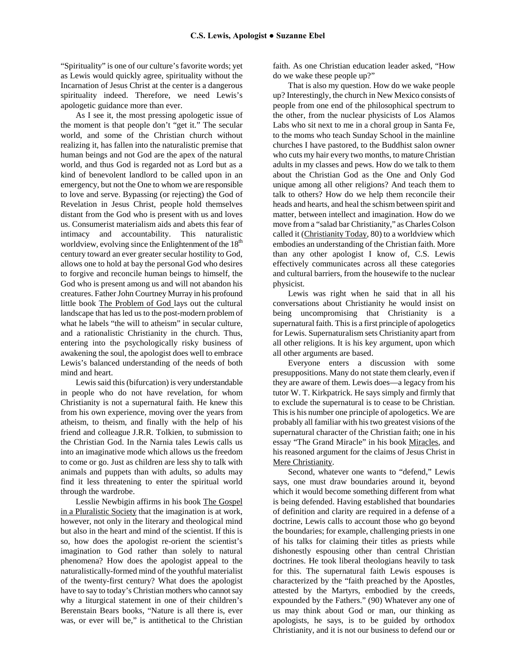"Spirituality" is one of our culture's favorite words; yet as Lewis would quickly agree, spirituality without the Incarnation of Jesus Christ at the center is a dangerous spirituality indeed. Therefore, we need Lewis's apologetic guidance more than ever.

As I see it, the most pressing apologetic issue of the moment is that people don't "get it." The secular world, and some of the Christian church without realizing it, has fallen into the naturalistic premise that human beings and not God are the apex of the natural world, and thus God is regarded not as Lord but as a kind of benevolent landlord to be called upon in an emergency, but not the One to whom we are responsible to love and serve. Bypassing (or rejecting) the God of Revelation in Jesus Christ, people hold themselves distant from the God who is present with us and loves us. Consumerist materialism aids and abets this fear of intimacy and accountability. This naturalistic worldview, evolving since the Enlightenment of the  $18<sup>th</sup>$ century toward an ever greater secular hostility to God, allows one to hold at bay the personal God who desires to forgive and reconcile human beings to himself, the God who is present among us and will not abandon his creatures. Father John Courtney Murray in his profound little book The Problem of God lays out the cultural landscape that has led us to the post-modern problem of what he labels "the will to atheism" in secular culture, and a rationalistic Christianity in the church. Thus, entering into the psychologically risky business of awakening the soul, the apologist does well to embrace Lewis's balanced understanding of the needs of both mind and heart.

Lewis said this (bifurcation) is very understandable in people who do not have revelation, for whom Christianity is not a supernatural faith. He knew this from his own experience, moving over the years from atheism, to theism, and finally with the help of his friend and colleague J.R.R. Tolkien, to submission to the Christian God. In the Narnia tales Lewis calls us into an imaginative mode which allows us the freedom to come or go. Just as children are less shy to talk with animals and puppets than with adults, so adults may find it less threatening to enter the spiritual world through the wardrobe.

Lesslie Newbigin affirms in his book The Gospel in a Pluralistic Society that the imagination is at work, however, not only in the literary and theological mind but also in the heart and mind of the scientist. If this is so, how does the apologist re-orient the scientist's imagination to God rather than solely to natural phenomena? How does the apologist appeal to the naturalistically-formed mind of the youthful materialist of the twenty-first century? What does the apologist have to say to today's Christian mothers who cannot say why a liturgical statement in one of their children's Berenstain Bears books, "Nature is all there is, ever was, or ever will be," is antithetical to the Christian faith. As one Christian education leader asked, "How do we wake these people up?"

That is also my question. How do we wake people up? Interestingly, the church in New Mexico consists of people from one end of the philosophical spectrum to the other, from the nuclear physicists of Los Alamos Labs who sit next to me in a choral group in Santa Fe, to the moms who teach Sunday School in the mainline churches I have pastored, to the Buddhist salon owner who cuts my hair every two months, to mature Christian adults in my classes and pews. How do we talk to them about the Christian God as the One and Only God unique among all other religions? And teach them to talk to others? How do we help them reconcile their heads and hearts, and heal the schism between spirit and matter, between intellect and imagination. How do we move from a "salad bar Christianity," as Charles Colson called it (Christianity Today, 80) to a worldview which embodies an understanding of the Christian faith. More than any other apologist I know of, C.S. Lewis effectively communicates across all these categories and cultural barriers, from the housewife to the nuclear physicist.

Lewis was right when he said that in all his conversations about Christianity he would insist on being uncompromising that Christianity is a supernatural faith. This is a first principle of apologetics for Lewis. Supernaturalism sets Christianity apart from all other religions. It is his key argument, upon which all other arguments are based.

Everyone enters a discussion with some presuppositions. Many do not state them clearly, even if they are aware of them. Lewis does—a legacy from his tutor W. T. Kirkpatrick. He says simply and firmly that to exclude the supernatural is to cease to be Christian. This is his number one principle of apologetics. We are probably all familiar with his two greatest visions of the supernatural character of the Christian faith; one in his essay "The Grand Miracle" in his book Miracles, and his reasoned argument for the claims of Jesus Christ in Mere Christianity.

Second, whatever one wants to "defend," Lewis says, one must draw boundaries around it, beyond which it would become something different from what is being defended. Having established that boundaries of definition and clarity are required in a defense of a doctrine, Lewis calls to account those who go beyond the boundaries; for example, challenging priests in one of his talks for claiming their titles as priests while dishonestly espousing other than central Christian doctrines. He took liberal theologians heavily to task for this. The supernatural faith Lewis espouses is characterized by the "faith preached by the Apostles, attested by the Martyrs, embodied by the creeds, expounded by the Fathers." (90) Whatever any one of us may think about God or man, our thinking as apologists, he says, is to be guided by orthodox Christianity, and it is not our business to defend our or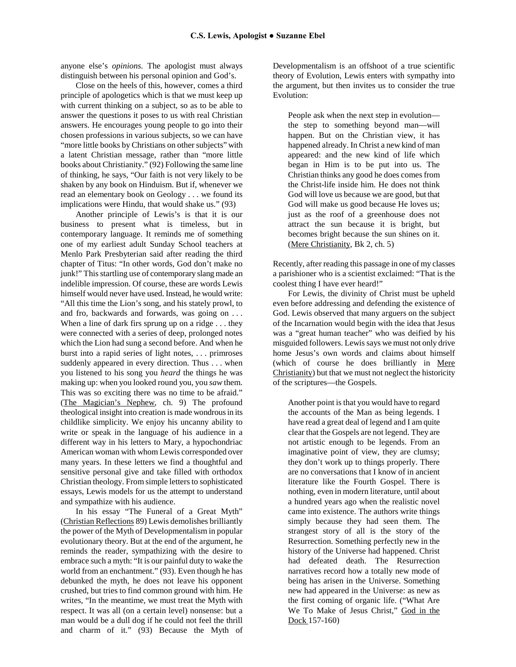anyone else's *opinions.* The apologist must always distinguish between his personal opinion and God's.

Close on the heels of this, however, comes a third principle of apologetics which is that we must keep up with current thinking on a subject, so as to be able to answer the questions it poses to us with real Christian answers. He encourages young people to go into their chosen professions in various subjects, so we can have "more little books by Christians on other subjects" with a latent Christian message, rather than "more little books about Christianity." (92) Following the same line of thinking, he says, "Our faith is not very likely to be shaken by any book on Hinduism. But if, whenever we read an elementary book on Geology . . . we found its implications were Hindu, that would shake us." (93)

Another principle of Lewis's is that it is our business to present what is timeless, but in contemporary language. It reminds me of something one of my earliest adult Sunday School teachers at Menlo Park Presbyterian said after reading the third chapter of Titus: "In other words, God don't make no junk!" This startling use of contemporary slang made an indelible impression. Of course, these are words Lewis himself would never have used. Instead, he would write: "All this time the Lion's song, and his stately prowl, to and fro, backwards and forwards, was going on . . . When a line of dark firs sprung up on a ridge . . . they were connected with a series of deep, prolonged notes which the Lion had sung a second before. And when he burst into a rapid series of light notes, . . . primroses suddenly appeared in every direction. Thus . . . when you listened to his song you *heard* the things he was making up: when you looked round you, you *saw* them. This was so exciting there was no time to be afraid." (The Magician's Nephew, ch. 9) The profound theological insight into creation is made wondrous in its childlike simplicity. We enjoy his uncanny ability to write or speak in the language of his audience in a different way in his letters to Mary, a hypochondriac American woman with whom Lewis corresponded over many years. In these letters we find a thoughtful and sensitive personal give and take filled with orthodox Christian theology. From simple letters to sophisticated essays, Lewis models for us the attempt to understand and sympathize with his audience.

In his essay "The Funeral of a Great Myth" (Christian Reflections 89) Lewis demolishes brilliantly the power of the Myth of Developmentalism in popular evolutionary theory. But at the end of the argument, he reminds the reader, sympathizing with the desire to embrace such a myth: "It is our painful duty to wake the world from an enchantment." (93). Even though he has debunked the myth, he does not leave his opponent crushed, but tries to find common ground with him. He writes, "In the meantime, we must treat the Myth with respect. It was all (on a certain level) nonsense: but a man would be a dull dog if he could not feel the thrill and charm of it." (93) Because the Myth of

Developmentalism is an offshoot of a true scientific theory of Evolution, Lewis enters with sympathy into the argument, but then invites us to consider the true Evolution:

People ask when the next step in evolution the step to something beyond man—will happen. But on the Christian view, it has happened already. In Christ a new kind of man appeared: and the new kind of life which began in Him is to be put into us. The Christian thinks any good he does comes from the Christ-life inside him. He does not think God will love us because we are good, but that God will make us good because He loves us; just as the roof of a greenhouse does not attract the sun because it is bright, but becomes bright because the sun shines on it. (Mere Christianity, Bk 2, ch. 5)

Recently, after reading this passage in one of my classes a parishioner who is a scientist exclaimed: "That is the coolest thing I have ever heard!"

For Lewis, the divinity of Christ must be upheld even before addressing and defending the existence of God. Lewis observed that many arguers on the subject of the Incarnation would begin with the idea that Jesus was a "great human teacher" who was deified by his misguided followers. Lewis says we must not only drive home Jesus's own words and claims about himself (which of course he does brilliantly in Mere Christianity) but that we must not neglect the historicity of the scriptures—the Gospels.

Another point is that you would have to regard the accounts of the Man as being legends. I have read a great deal of legend and I am quite clear that the Gospels are not legend. They are not artistic enough to be legends. From an imaginative point of view, they are clumsy; they don't work up to things properly. There are no conversations that I know of in ancient literature like the Fourth Gospel. There is nothing, even in modern literature, until about a hundred years ago when the realistic novel came into existence. The authors write things simply because they had seen them. The strangest story of all is the story of the Resurrection. Something perfectly new in the history of the Universe had happened. Christ had defeated death. The Resurrection narratives record how a totally new mode of being has arisen in the Universe. Something new had appeared in the Universe: as new as the first coming of organic life. ("What Are We To Make of Jesus Christ," God in the Dock 157-160)